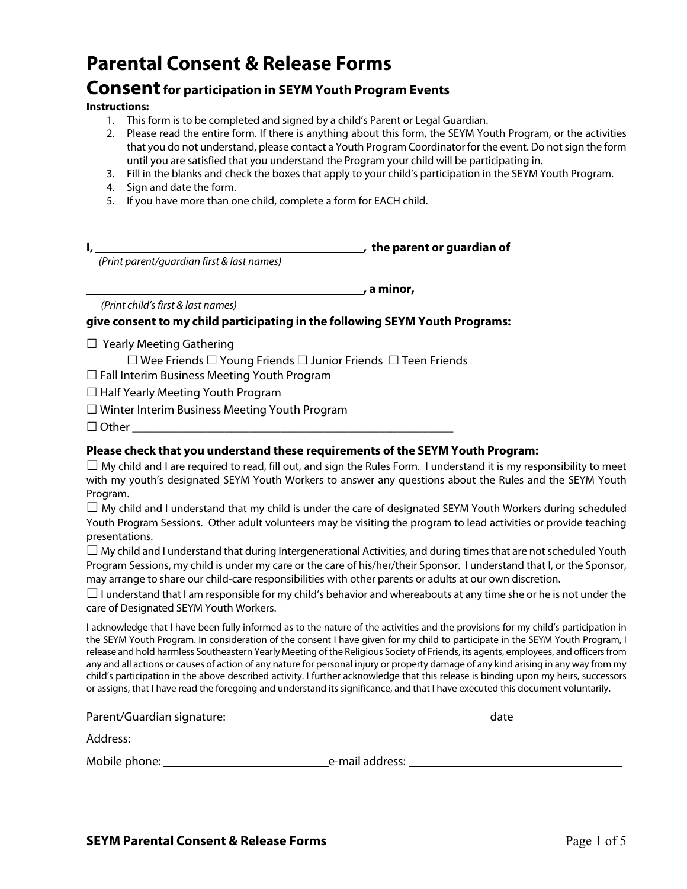# **Parental Consent & Release Forms**

### **Consent for participation in SEYM Youth Program Events**

#### **Instructions:**

- 1. This form is to be completed and signed by a child's Parent or Legal Guardian.
- 2. Please read the entire form. If there is anything about this form, the SEYM Youth Program, or the activities that you do not understand, please contact a Youth Program Coordinator for the event. Do not sign the form until you are satisfied that you understand the Program your child will be participating in.
- 3. Fill in the blanks and check the boxes that apply to your child's participation in the SEYM Youth Program.
- 4. Sign and date the form.
- 5. If you have more than one child, complete a form for EACH child.

**I, , the parent or guardian of**

 *(Print parent/guardian first & last names)*

*<u><b>1* a minor, **a**</u>

*(Print child's first & last names)*

#### **give consent to my child participating in the following SEYM Youth Programs:**

- $\Box$  Yearly Meeting Gathering
	- ☐ Wee Friends ☐ Young Friends ☐ Junior Friends ☐ Teen Friends
- ☐ Fall Interim Business Meeting Youth Program
- □ Half Yearly Meeting Youth Program
- ☐ Winter Interim Business Meeting Youth Program
- $\Box$  Other

### **Please check that you understand these requirements of the SEYM Youth Program:**

 $\Box$  My child and I are required to read, fill out, and sign the Rules Form. I understand it is my responsibility to meet with my youth's designated SEYM Youth Workers to answer any questions about the Rules and the SEYM Youth Program.

 $\Box$  My child and I understand that my child is under the care of designated SEYM Youth Workers during scheduled Youth Program Sessions. Other adult volunteers may be visiting the program to lead activities or provide teaching presentations.

 $\Box$  My child and I understand that during Intergenerational Activities, and during times that are not scheduled Youth Program Sessions, my child is under my care or the care of his/her/their Sponsor. I understand that I, or the Sponsor, may arrange to share our child-care responsibilities with other parents or adults at our own discretion.

 $\Box$  I understand that I am responsible for my child's behavior and whereabouts at any time she or he is not under the care of Designated SEYM Youth Workers.

I acknowledge that I have been fully informed as to the nature of the activities and the provisions for my child's participation in the SEYM Youth Program. In consideration of the consent I have given for my child to participate in the SEYM Youth Program, I release and hold harmless Southeastern Yearly Meeting of the Religious Society of Friends, its agents, employees, and officers from any and all actions or causes of action of any nature for personal injury or property damage of any kind arising in any way from my child's participation in the above described activity. I further acknowledge that this release is binding upon my heirs, successors or assigns, that I have read the foregoing and understand its significance, and that I have executed this document voluntarily.

| Parent/Guardian signature: | date            |  |
|----------------------------|-----------------|--|
| Address:                   |                 |  |
| Mobile phone:              | e-mail address: |  |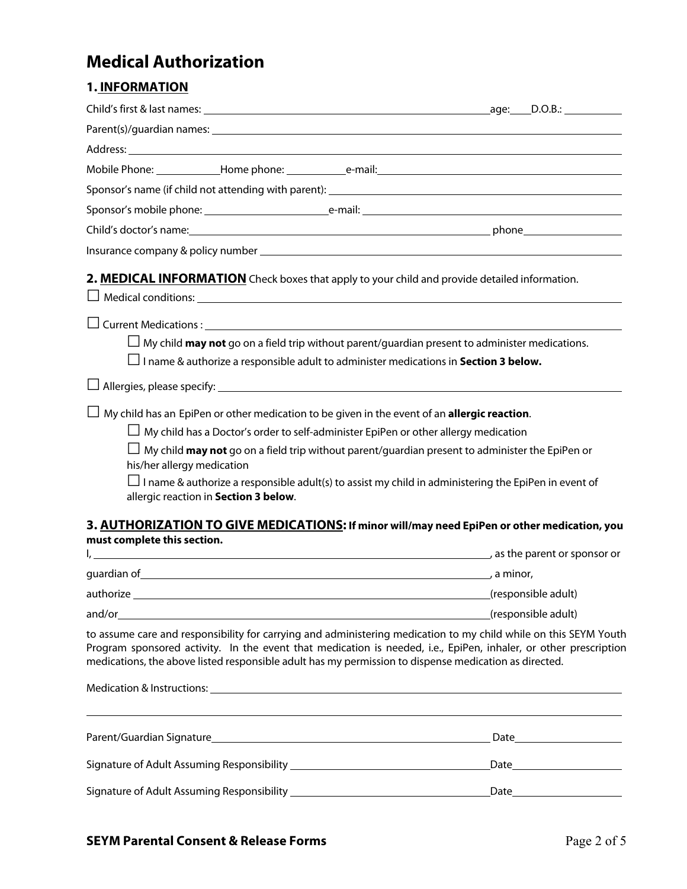# **Medical Authorization**

### **1. INFORMATION**

| 2. MEDICAL INFORMATION Check boxes that apply to your child and provide detailed information.                                                                                                                                                                                                                                                 |                     |
|-----------------------------------------------------------------------------------------------------------------------------------------------------------------------------------------------------------------------------------------------------------------------------------------------------------------------------------------------|---------------------|
|                                                                                                                                                                                                                                                                                                                                               |                     |
| $\Box$ My child <b>may not</b> go on a field trip without parent/guardian present to administer medications.                                                                                                                                                                                                                                  |                     |
| I name & authorize a responsible adult to administer medications in Section 3 below.                                                                                                                                                                                                                                                          |                     |
| $\Box$ Allergies, please specify: $\Box$ and $\Box$ and $\Box$ and $\Box$ and $\Box$ and $\Box$ and $\Box$ and $\Box$ and $\Box$ and $\Box$ and $\Box$ and $\Box$ and $\Box$ and $\Box$ and $\Box$ and $\Box$ and $\Box$ and $\Box$ and $\Box$ and $\Box$ and $\Box$ and                                                                      |                     |
| My child has an EpiPen or other medication to be given in the event of an allergic reaction.                                                                                                                                                                                                                                                  |                     |
| $\Box$ My child has a Doctor's order to self-administer EpiPen or other allergy medication                                                                                                                                                                                                                                                    |                     |
| $\Box$ My child <b>may not</b> go on a field trip without parent/guardian present to administer the EpiPen or<br>his/her allergy medication                                                                                                                                                                                                   |                     |
| $\Box$ I name & authorize a responsible adult(s) to assist my child in administering the EpiPen in event of<br>allergic reaction in Section 3 below.                                                                                                                                                                                          |                     |
| 3. AUTHORIZATION TO GIVE MEDICATIONS: If minor will/may need EpiPen or other medication, you                                                                                                                                                                                                                                                  |                     |
| must complete this section.                                                                                                                                                                                                                                                                                                                   |                     |
| quardian of and a series of the series of the series of the series of the series of the series of the series of the series of the series of the series of the series of the series of the series of the series of the series o                                                                                                                |                     |
|                                                                                                                                                                                                                                                                                                                                               |                     |
| authorize                                                                                                                                                                                                                                                                                                                                     | (responsible adult) |
|                                                                                                                                                                                                                                                                                                                                               | (responsible adult) |
| to assume care and responsibility for carrying and administering medication to my child while on this SEYM Youth<br>Program sponsored activity. In the event that medication is needed, i.e., EpiPen, inhaler, or other prescription<br>medications, the above listed responsible adult has my permission to dispense medication as directed. |                     |
| Medication & Instructions: Letter and the contract of the contract of the contract of the contract of the contract of the contract of the contract of the contract of the contract of the contract of the contract of the cont                                                                                                                |                     |
|                                                                                                                                                                                                                                                                                                                                               |                     |
|                                                                                                                                                                                                                                                                                                                                               |                     |
|                                                                                                                                                                                                                                                                                                                                               |                     |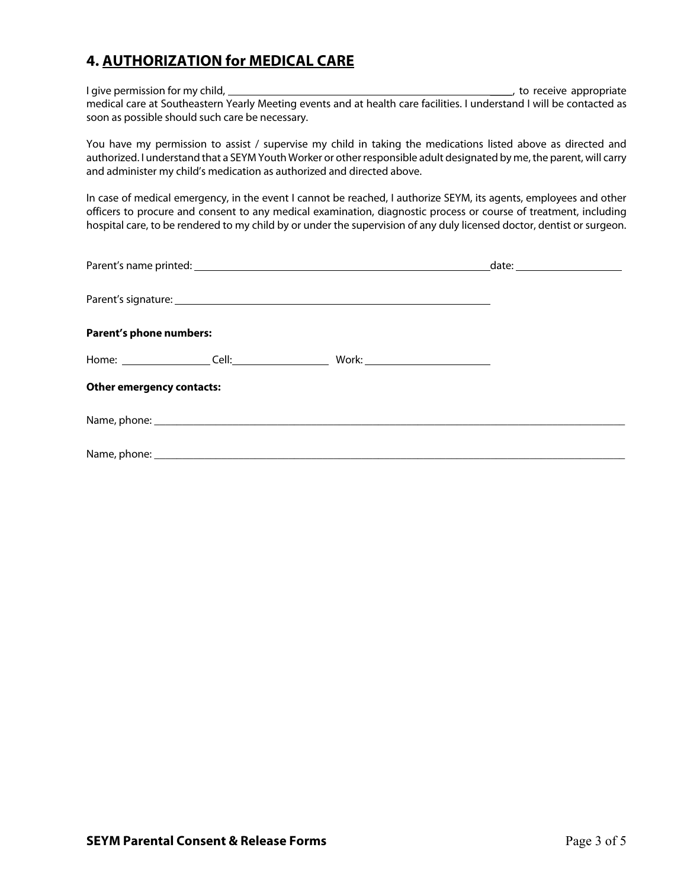### **4. AUTHORIZATION for MEDICAL CARE**

I give permission for my child, \_\_\_\_, to receive appropriate medical care at Southeastern Yearly Meeting events and at health care facilities. I understand I will be contacted as soon as possible should such care be necessary.

You have my permission to assist / supervise my child in taking the medications listed above as directed and authorized. I understand that a SEYM Youth Worker or other responsible adult designated by me, the parent, will carry and administer my child's medication as authorized and directed above.

In case of medical emergency, in the event I cannot be reached, I authorize SEYM, its agents, employees and other officers to procure and consent to any medical examination, diagnostic process or course of treatment, including hospital care, to be rendered to my child by or under the supervision of any duly licensed doctor, dentist or surgeon.

|                                  | date: _______________________ |  |
|----------------------------------|-------------------------------|--|
|                                  |                               |  |
| Parent's phone numbers:          |                               |  |
|                                  |                               |  |
| <b>Other emergency contacts:</b> |                               |  |
|                                  |                               |  |
|                                  |                               |  |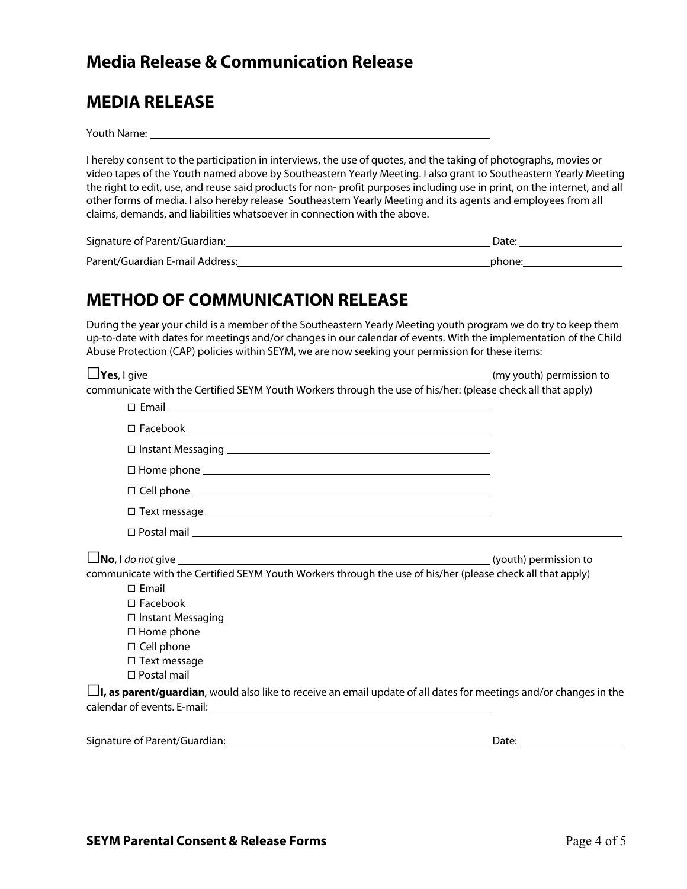### **Media Release & Communication Release**

## **MEDIA RELEASE**

Youth Name:

I hereby consent to the participation in interviews, the use of quotes, and the taking of photographs, movies or video tapes of the Youth named above by Southeastern Yearly Meeting. I also grant to Southeastern Yearly Meeting the right to edit, use, and reuse said products for non- profit purposes including use in print, on the internet, and all other forms of media. I also hereby release Southeastern Yearly Meeting and its agents and employees from all claims, demands, and liabilities whatsoever in connection with the above.

| Signature of Parent/Guardian:   | Date <sup>.</sup> |
|---------------------------------|-------------------|
| Parent/Guardian E-mail Address: | phone:            |

## **METHOD OF COMMUNICATION RELEASE**

During the year your child is a member of the Southeastern Yearly Meeting youth program we do try to keep them up-to-date with dates for meetings and/or changes in our calendar of events. With the implementation of the Child Abuse Protection (CAP) policies within SEYM, we are now seeking your permission for these items:

| $\Box$ Yes, I give $\_\_\_\_\_\_\_\_\_\_\_\_\_\_\_\_\_\_\_\_$ (my youth) permission to                                    |                       |  |
|---------------------------------------------------------------------------------------------------------------------------|-----------------------|--|
| communicate with the Certified SEYM Youth Workers through the use of his/her: (please check all that apply)               |                       |  |
|                                                                                                                           |                       |  |
|                                                                                                                           |                       |  |
|                                                                                                                           |                       |  |
|                                                                                                                           |                       |  |
|                                                                                                                           |                       |  |
|                                                                                                                           |                       |  |
|                                                                                                                           |                       |  |
| $\Box$ No, I do not give $\Box$ (youth) permission to                                                                     |                       |  |
| communicate with the Certified SEYM Youth Workers through the use of his/her (please check all that apply)                |                       |  |
| $\Box$ Email                                                                                                              |                       |  |
| $\Box$ Facebook                                                                                                           |                       |  |
| □ Instant Messaging                                                                                                       |                       |  |
| $\Box$ Home phone                                                                                                         |                       |  |
| $\Box$ Cell phone                                                                                                         |                       |  |
| $\Box$ Text message                                                                                                       |                       |  |
| $\Box$ Postal mail                                                                                                        |                       |  |
| <b>L</b> , as parent/guardian, would also like to receive an email update of all dates for meetings and/or changes in the |                       |  |
|                                                                                                                           |                       |  |
| Signature of Parent/Guardian: Manual Community of Parent/Guardian:                                                        | Date: $\qquad \qquad$ |  |
|                                                                                                                           |                       |  |